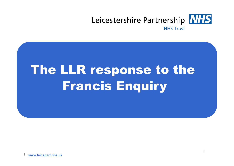

# The LLR response to the Francis Enquiry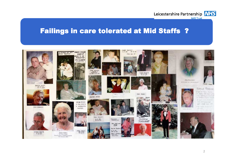

#### Failings in care tolerated at Mid Staffs ?

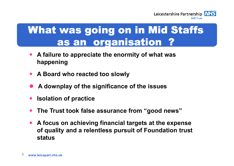

## What was going on in Mid Staffs as an organisation ?

- $\bullet$  **A failure to appreciate the enormity of what was happening**
- **A Board who reacted too slowly**
- $\bullet$ **A downplay of the significance of the issues**
- $\bullet$ **Isolation of practice**
- $\bullet$ **The Trust took false assurance from "good news"**
- **A focus on achieving financial targets at the expense of quality and a relentless pursuit of Foundation trust status**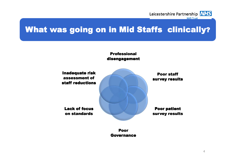

### ZH III IVIIW What was going on in Mid Staffs clinically What was going on clinically?



Poor Governance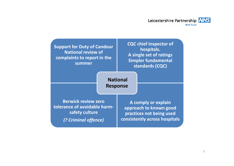

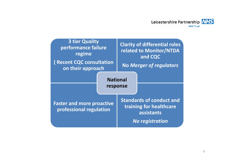

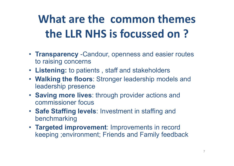# **What are the common themes the LLR NHS is focussed on ?**

- **Transparency** -Candour, openness and easier routes to raising concerns
- **Listening:** to patients , staff and stakeholders
- **Walking the floors**: Stronger leadership models and leadership presence
- **Saving more lives**: through provider actions and commissioner focus
- **Safe Staffing levels**: Investment in staffing and benchmarking
- **Targeted improvement**: Improvements in record keeping ;environment; Friends and Family feedback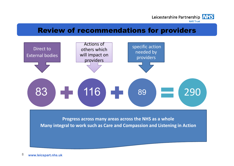

#### Review of recommendations for providers



**Many integral to work such as Care and Compassion and Listening in Action**